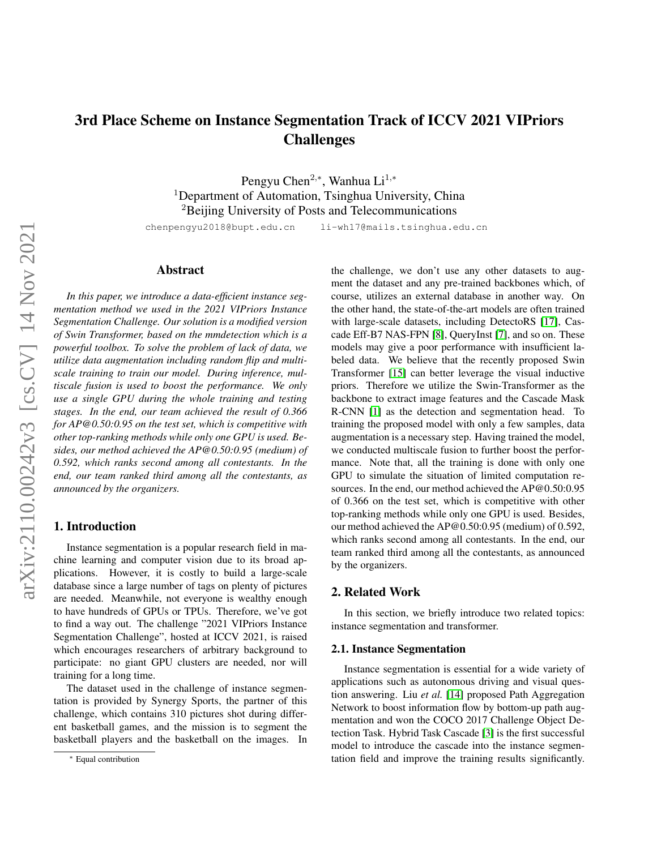# 3rd Place Scheme on Instance Segmentation Track of ICCV 2021 VIPriors Challenges

Pengyu Chen $^{2,*}$ , Wanhua Li $^{1,*}$ <sup>1</sup>Department of Automation, Tsinghua University, China <sup>2</sup>Beijing University of Posts and Telecommunications

chenpengyu2018@bupt.edu.cn li-wh17@mails.tsinghua.edu.cn

#### Abstract

*In this paper, we introduce a data-efficient instance segmentation method we used in the 2021 VIPriors Instance Segmentation Challenge. Our solution is a modified version of Swin Transformer, based on the mmdetection which is a powerful toolbox. To solve the problem of lack of data, we utilize data augmentation including random flip and multiscale training to train our model. During inference, multiscale fusion is used to boost the performance. We only use a single GPU during the whole training and testing stages. In the end, our team achieved the result of 0.366 for AP@0.50:0.95 on the test set, which is competitive with other top-ranking methods while only one GPU is used. Besides, our method achieved the AP@0.50:0.95 (medium) of 0.592, which ranks second among all contestants. In the end, our team ranked third among all the contestants, as announced by the organizers.*

#### 1. Introduction

Instance segmentation is a popular research field in machine learning and computer vision due to its broad applications. However, it is costly to build a large-scale database since a large number of tags on plenty of pictures are needed. Meanwhile, not everyone is wealthy enough to have hundreds of GPUs or TPUs. Therefore, we've got to find a way out. The challenge "2021 VIPriors Instance Segmentation Challenge", hosted at ICCV 2021, is raised which encourages researchers of arbitrary background to participate: no giant GPU clusters are needed, nor will training for a long time.

The dataset used in the challenge of instance segmentation is provided by Synergy Sports, the partner of this challenge, which contains 310 pictures shot during different basketball games, and the mission is to segment the basketball players and the basketball on the images. In

the challenge, we don't use any other datasets to augment the dataset and any pre-trained backbones which, of course, utilizes an external database in another way. On the other hand, the state-of-the-art models are often trained with large-scale datasets, including DetectoRS [\[17\]](#page-3-0), Cascade Eff-B7 NAS-FPN [\[8\]](#page-3-1), QueryInst [\[7\]](#page-3-2), and so on. These models may give a poor performance with insufficient labeled data. We believe that the recently proposed Swin Transformer [\[15\]](#page-3-3) can better leverage the visual inductive priors. Therefore we utilize the Swin-Transformer as the backbone to extract image features and the Cascade Mask R-CNN [\[1\]](#page-3-4) as the detection and segmentation head. To training the proposed model with only a few samples, data augmentation is a necessary step. Having trained the model, we conducted multiscale fusion to further boost the performance. Note that, all the training is done with only one GPU to simulate the situation of limited computation resources. In the end, our method achieved the AP@0.50:0.95 of 0.366 on the test set, which is competitive with other top-ranking methods while only one GPU is used. Besides, our method achieved the AP@0.50:0.95 (medium) of 0.592, which ranks second among all contestants. In the end, our team ranked third among all the contestants, as announced by the organizers.

#### 2. Related Work

In this section, we briefly introduce two related topics: instance segmentation and transformer.

#### 2.1. Instance Segmentation

Instance segmentation is essential for a wide variety of applications such as autonomous driving and visual question answering. Liu *et al.* [\[14\]](#page-3-5) proposed Path Aggregation Network to boost information flow by bottom-up path augmentation and won the COCO 2017 Challenge Object Detection Task. Hybrid Task Cascade [\[3\]](#page-3-6) is the first successful model to introduce the cascade into the instance segmentation field and improve the training results significantly.

<sup>∗</sup> Equal contribution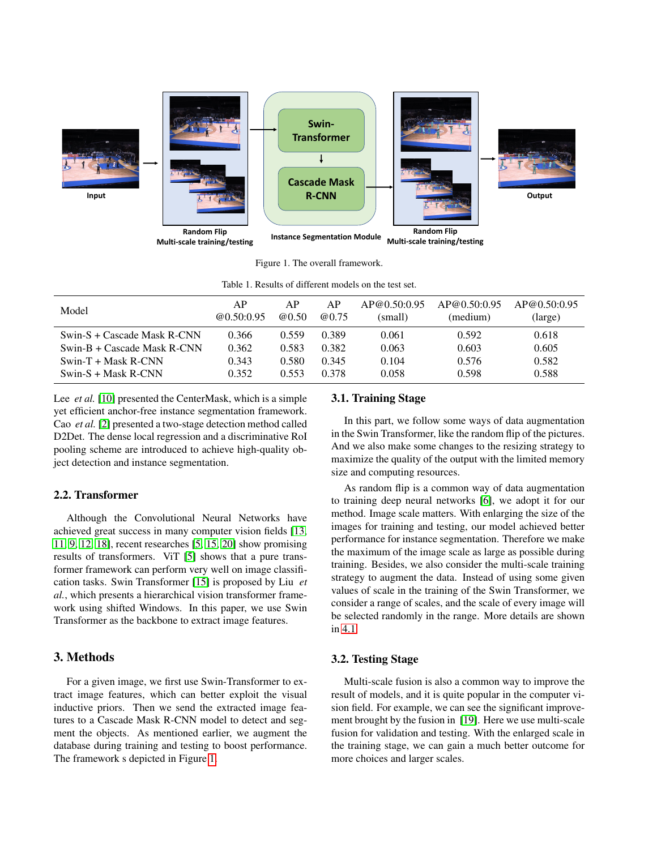

<span id="page-1-1"></span><span id="page-1-0"></span>Figure 1. The overall framework.

| Table 1. Results of different models on the test set. |                  |             |             |                         |                          |                         |  |  |
|-------------------------------------------------------|------------------|-------------|-------------|-------------------------|--------------------------|-------------------------|--|--|
| Model                                                 | AP<br>@0.50:0.95 | AP<br>@0.50 | AP<br>@0.75 | AP@0.50:0.95<br>(small) | AP@0.50:0.95<br>(medium) | AP@0.50:0.95<br>(large) |  |  |
| Swin-S + Cascade Mask R-CNN                           | 0.366            | 0.559       | 0.389       | 0.061                   | 0.592                    | 0.618                   |  |  |
| Swin-B + Cascade Mask R-CNN                           | 0.362            | 0.583       | 0.382       | 0.063                   | 0.603                    | 0.605                   |  |  |
| $Swin-T + Mask R-CNN$                                 | 0.343            | 0.580       | 0.345       | 0.104                   | 0.576                    | 0.582                   |  |  |
| $Swin-S + Mask R-CNN$                                 | 0.352            | 0.553       | 0.378       | 0.058                   | 0.598                    | 0.588                   |  |  |

Lee *et al.* [\[10\]](#page-3-7) presented the CenterMask, which is a simple yet efficient anchor-free instance segmentation framework. Cao *et al.* [\[2\]](#page-3-8) presented a two-stage detection method called D2Det. The dense local regression and a discriminative RoI pooling scheme are introduced to achieve high-quality object detection and instance segmentation.

## 2.2. Transformer

Although the Convolutional Neural Networks have achieved great success in many computer vision fields [\[13,](#page-3-9) [11,](#page-3-10) [9,](#page-3-11) [12,](#page-3-12) [18\]](#page-3-13), recent researches [\[5,](#page-3-14) [15,](#page-3-3) [20\]](#page-3-15) show promising results of transformers. ViT [\[5\]](#page-3-14) shows that a pure transformer framework can perform very well on image classification tasks. Swin Transformer [\[15\]](#page-3-3) is proposed by Liu *et al.*, which presents a hierarchical vision transformer framework using shifted Windows. In this paper, we use Swin Transformer as the backbone to extract image features.

## 3. Methods

For a given image, we first use Swin-Transformer to extract image features, which can better exploit the visual inductive priors. Then we send the extracted image features to a Cascade Mask R-CNN model to detect and segment the objects. As mentioned earlier, we augment the database during training and testing to boost performance. The framework s depicted in Figure [1.](#page-1-0)

#### 3.1. Training Stage

In this part, we follow some ways of data augmentation in the Swin Transformer, like the random flip of the pictures. And we also make some changes to the resizing strategy to maximize the quality of the output with the limited memory size and computing resources.

As random flip is a common way of data augmentation to training deep neural networks [\[6\]](#page-3-16), we adopt it for our method. Image scale matters. With enlarging the size of the images for training and testing, our model achieved better performance for instance segmentation. Therefore we make the maximum of the image scale as large as possible during training. Besides, we also consider the multi-scale training strategy to augment the data. Instead of using some given values of scale in the training of the Swin Transformer, we consider a range of scales, and the scale of every image will be selected randomly in the range. More details are shown in [4.1.](#page-2-0)

#### 3.2. Testing Stage

Multi-scale fusion is also a common way to improve the result of models, and it is quite popular in the computer vision field. For example, we can see the significant improvement brought by the fusion in [\[19\]](#page-3-17). Here we use multi-scale fusion for validation and testing. With the enlarged scale in the training stage, we can gain a much better outcome for more choices and larger scales.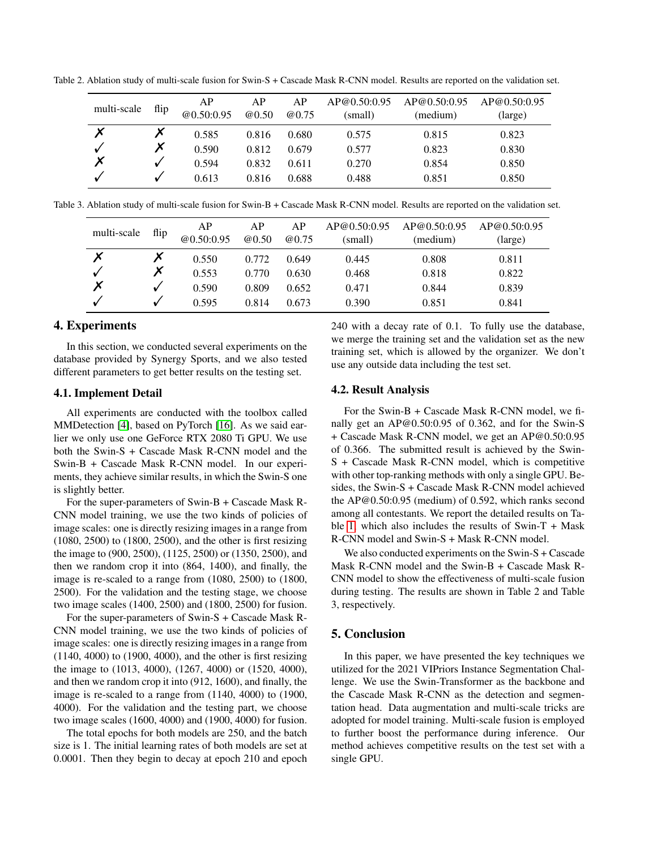| multi-scale | flip | AP<br>@0.50:0.95 | AP<br>@0.50 | AP<br><b>@0.75</b> | AP@0.50:0.95<br>(small) | AP@0.50:0.95<br>(medium) | AP@0.50:0.95<br>(large) |
|-------------|------|------------------|-------------|--------------------|-------------------------|--------------------------|-------------------------|
|             |      | 0.585            | 0.816       | 0.680              | 0.575                   | 0.815                    | 0.823                   |
|             | Х    | 0.590            | 0.812       | 0.679              | 0.577                   | 0.823                    | 0.830                   |
| Х           |      | 0.594            | 0.832       | 0.611              | 0.270                   | 0.854                    | 0.850                   |
|             |      | 0.613            | 0.816       | 0.688              | 0.488                   | 0.851                    | 0.850                   |

Table 2. Ablation study of multi-scale fusion for Swin-S + Cascade Mask R-CNN model. Results are reported on the validation set.

Table 3. Ablation study of multi-scale fusion for Swin-B + Cascade Mask R-CNN model. Results are reported on the validation set.

| multi-scale | flip | AP<br>@0.50:0.95 | АP<br>@0.50 | AP<br>@0.75 | AP@0.50:0.95<br>(small) | AP@0.50:0.95<br>(medium) | AP@0.50:0.95<br>(large) |
|-------------|------|------------------|-------------|-------------|-------------------------|--------------------------|-------------------------|
|             |      | 0.550            | 0.772       | 0.649       | 0.445                   | 0.808                    | 0.811                   |
|             |      | 0.553            | 0.770       | 0.630       | 0.468                   | 0.818                    | 0.822                   |
|             |      | 0.590            | 0.809       | 0.652       | 0.471                   | 0.844                    | 0.839                   |
|             |      | 0.595            | 0.814       | 0.673       | 0.390                   | 0.851                    | 0.841                   |

#### 4. Experiments

In this section, we conducted several experiments on the database provided by Synergy Sports, and we also tested different parameters to get better results on the testing set.

#### <span id="page-2-0"></span>4.1. Implement Detail

All experiments are conducted with the toolbox called MMDetection [\[4\]](#page-3-18), based on PyTorch [\[16\]](#page-3-19). As we said earlier we only use one GeForce RTX 2080 Ti GPU. We use both the Swin-S + Cascade Mask R-CNN model and the Swin-B + Cascade Mask R-CNN model. In our experiments, they achieve similar results, in which the Swin-S one is slightly better.

For the super-parameters of Swin-B + Cascade Mask R-CNN model training, we use the two kinds of policies of image scales: one is directly resizing images in a range from (1080, 2500) to (1800, 2500), and the other is first resizing the image to (900, 2500), (1125, 2500) or (1350, 2500), and then we random crop it into (864, 1400), and finally, the image is re-scaled to a range from (1080, 2500) to (1800, 2500). For the validation and the testing stage, we choose two image scales (1400, 2500) and (1800, 2500) for fusion.

For the super-parameters of Swin-S + Cascade Mask R-CNN model training, we use the two kinds of policies of image scales: one is directly resizing images in a range from (1140, 4000) to (1900, 4000), and the other is first resizing the image to (1013, 4000), (1267, 4000) or (1520, 4000), and then we random crop it into (912, 1600), and finally, the image is re-scaled to a range from (1140, 4000) to (1900, 4000). For the validation and the testing part, we choose two image scales (1600, 4000) and (1900, 4000) for fusion.

The total epochs for both models are 250, and the batch size is 1. The initial learning rates of both models are set at 0.0001. Then they begin to decay at epoch 210 and epoch 240 with a decay rate of 0.1. To fully use the database, we merge the training set and the validation set as the new training set, which is allowed by the organizer. We don't use any outside data including the test set.

#### 4.2. Result Analysis

For the Swin-B + Cascade Mask R-CNN model, we finally get an AP@0.50:0.95 of 0.362, and for the Swin-S + Cascade Mask R-CNN model, we get an AP@0.50:0.95 of 0.366. The submitted result is achieved by the Swin-S + Cascade Mask R-CNN model, which is competitive with other top-ranking methods with only a single GPU. Besides, the Swin-S + Cascade Mask R-CNN model achieved the AP@0.50:0.95 (medium) of 0.592, which ranks second among all contestants. We report the detailed results on Ta-ble [1,](#page-1-1) which also includes the results of  $Swin-T + Mask$ R-CNN model and Swin-S + Mask R-CNN model.

We also conducted experiments on the Swin-S + Cascade Mask R-CNN model and the Swin-B + Cascade Mask R-CNN model to show the effectiveness of multi-scale fusion during testing. The results are shown in Table 2 and Table 3, respectively.

## 5. Conclusion

In this paper, we have presented the key techniques we utilized for the 2021 VIPriors Instance Segmentation Challenge. We use the Swin-Transformer as the backbone and the Cascade Mask R-CNN as the detection and segmentation head. Data augmentation and multi-scale tricks are adopted for model training. Multi-scale fusion is employed to further boost the performance during inference. Our method achieves competitive results on the test set with a single GPU.